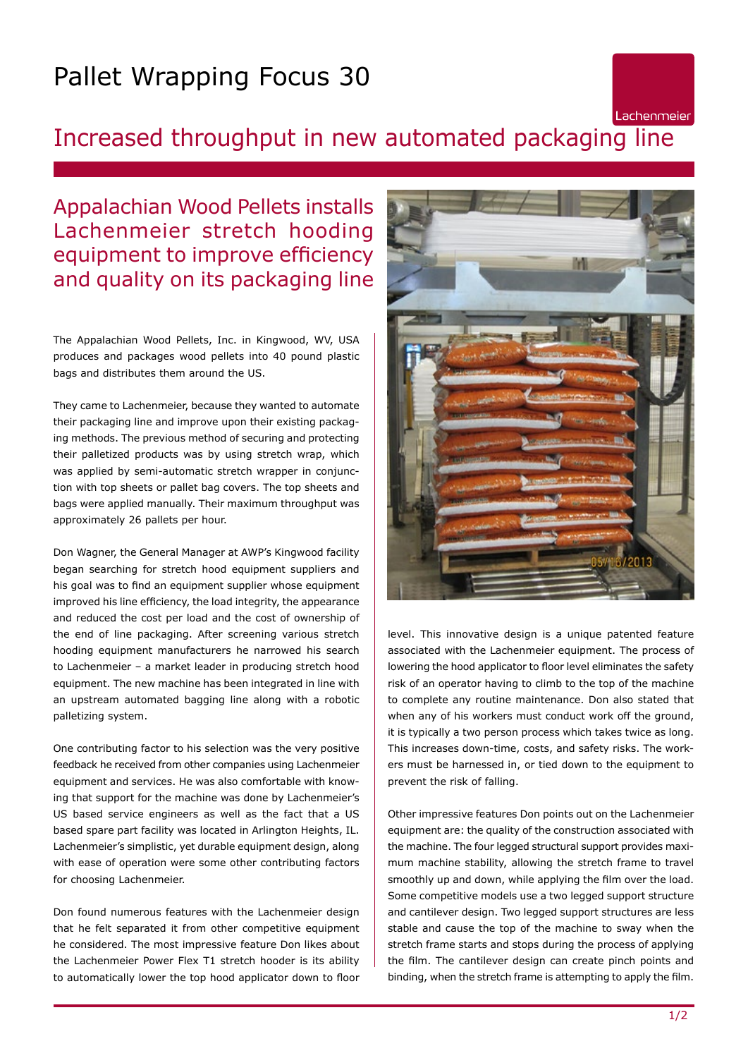## Pallet Wrapping Focus 30

## Increased throughput in new automated packaging line

Appalachian Wood Pellets installs Lachenmeier stretch hooding equipment to improve efficiency and quality on its packaging line

The Appalachian Wood Pellets, Inc. in Kingwood, WV, USA produces and packages wood pellets into 40 pound plastic bags and distributes them around the US.

They came to Lachenmeier, because they wanted to automate their packaging line and improve upon their existing packaging methods. The previous method of securing and protecting their palletized products was by using stretch wrap, which was applied by semi-automatic stretch wrapper in conjunction with top sheets or pallet bag covers. The top sheets and bags were applied manually. Their maximum throughput was approximately 26 pallets per hour.

Don Wagner, the General Manager at AWP's Kingwood facility began searching for stretch hood equipment suppliers and his goal was to find an equipment supplier whose equipment improved his line efficiency, the load integrity, the appearance and reduced the cost per load and the cost of ownership of the end of line packaging. After screening various stretch hooding equipment manufacturers he narrowed his search to Lachenmeier – a market leader in producing stretch hood equipment. The new machine has been integrated in line with an upstream automated bagging line along with a robotic palletizing system.

One contributing factor to his selection was the very positive feedback he received from other companies using Lachenmeier equipment and services. He was also comfortable with knowing that support for the machine was done by Lachenmeier's US based service engineers as well as the fact that a US based spare part facility was located in Arlington Heights, IL. Lachenmeier's simplistic, yet durable equipment design, along with ease of operation were some other contributing factors for choosing Lachenmeier.

Don found numerous features with the Lachenmeier design that he felt separated it from other competitive equipment he considered. The most impressive feature Don likes about the Lachenmeier Power Flex T1 stretch hooder is its ability to automatically lower the top hood applicator down to floor



Lachenmeier

level. This innovative design is a unique patented feature associated with the Lachenmeier equipment. The process of lowering the hood applicator to floor level eliminates the safety risk of an operator having to climb to the top of the machine to complete any routine maintenance. Don also stated that when any of his workers must conduct work off the ground, it is typically a two person process which takes twice as long. This increases down-time, costs, and safety risks. The workers must be harnessed in, or tied down to the equipment to prevent the risk of falling.

Other impressive features Don points out on the Lachenmeier equipment are: the quality of the construction associated with the machine. The four legged structural support provides maximum machine stability, allowing the stretch frame to travel smoothly up and down, while applying the film over the load. Some competitive models use a two legged support structure and cantilever design. Two legged support structures are less stable and cause the top of the machine to sway when the stretch frame starts and stops during the process of applying the film. The cantilever design can create pinch points and binding, when the stretch frame is attempting to apply the film.